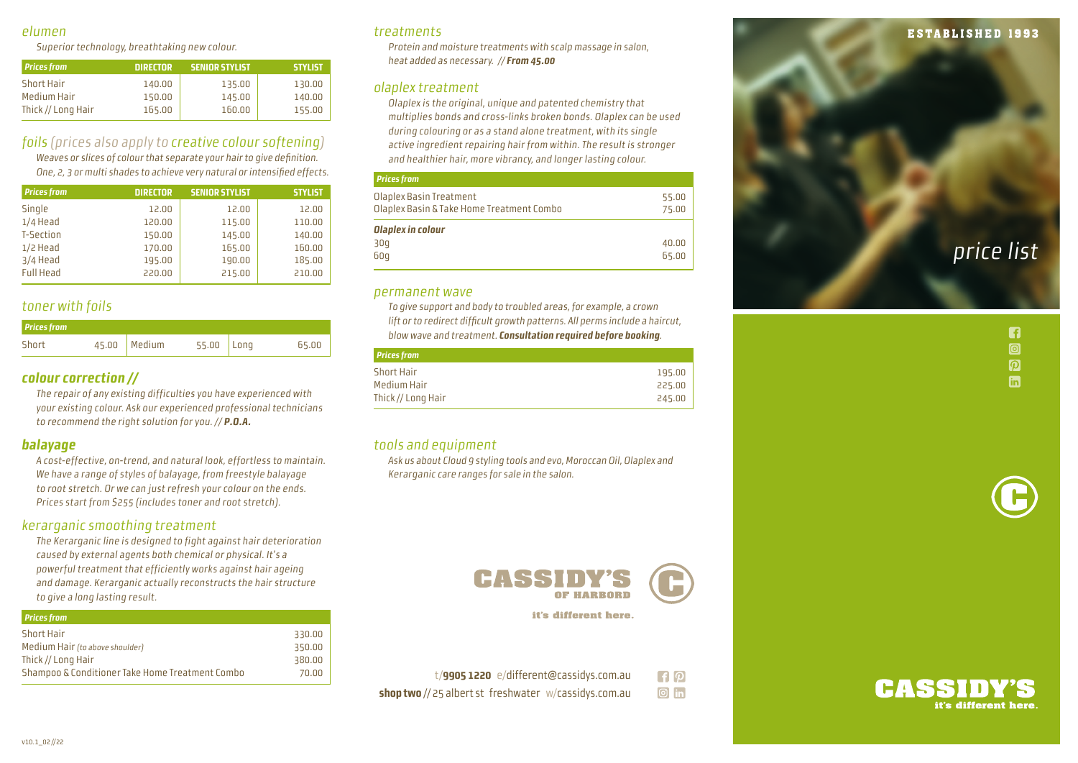#### elumen

Superior technology, breathtaking new colour.

| <b>Prices from</b> | <b>DIRECTOR</b> | <b>SENIOR STYLIST</b> | <b>STYLIST</b> |
|--------------------|-----------------|-----------------------|----------------|
| <b>Short Hair</b>  | 140.00          | 135.00                | 130.00         |
| Medium Hair        | 150.00          | 145.00                | 140.00         |
| Thick // Long Hair | 165.00          | 160.00                | 155.00         |

## foils (prices also apply to creative colour softening )

Weaves or slices of colour that separate your hair to give definition. One, 2, 3 or multi shades to achieve very natural or intensified effects.

| <b>Prices from</b> | <b>DIRECTOR</b> | <b>SENIOR STYLIST</b> | <b>STYLIST</b> |
|--------------------|-----------------|-----------------------|----------------|
| Single             | 12.00           | 12.00                 | 12.00          |
| $1/4$ Head         | 120.00          | 115.00                | 110.00         |
| <b>T-Section</b>   | 150.00          | 145.00                | 140.00         |
| $1/2$ Head         | 170.00          | 165.00                | 160.00         |
| 3/4 Head           | 195.00          | 190.00                | 185.00         |
| <b>Full Head</b>   | 220.00          | 215.00                | 210.00         |

## toner with foils

| <b>Prices from</b> |                |              |       |
|--------------------|----------------|--------------|-------|
| Short              | $45.00$ Medium | $55.00$ Long | 65.00 |

#### **colour correction //**

The repair of any existing difficulties you have experienced with your existing colour. Ask our experienced professional technicians to recommend the right solution for you. // **P.O.A.**

#### **balayage**

A cost-effective, on-trend, and natural look, effortless to maintain. We have a range of styles of balayage, from freestyle balayage to root stretch. Or we can just refresh your colour on the ends. Prices start from \$255 (includes toner and root stretch).

#### kerarganic smoothing treatment

The Kerarganic line is designed to fight against hair deterioration caused by external agents both chemical or physical. It's a powerful treatment that efficiently works against hair ageing and damage. Kerarganic actually reconstructs the hair structure to give a long lasting result.

| <b>Prices from</b>                              |        |
|-------------------------------------------------|--------|
| <b>Short Hair</b>                               | 330.00 |
| Medium Hair (to above shoulder)                 | 350.00 |
| Thick // Long Hair                              | 380.00 |
| Shampoo & Conditioner Take Home Treatment Combo | 70.00  |
|                                                 |        |

#### treatments

Protein and moisture treatments with scalp massage in salon, heat added as necessary. // **From 45.00**

#### olaplex treatment

Olaplex is the original, unique and patented chemistry that multiplies bonds and cross-links broken bonds. Olaplex can be used during colouring or as a stand alone treatment, with its single active ingredient repairing hair from within. The result is stronger and healthier hair, more vibrancy, and longer lasting colour.

#### **Prices from**

| Olaplex Basin Treatment<br>55.00<br>Olaplex Basin & Take Home Treatment Combo<br>75.00<br>Olaplex in colour<br>30q<br>40.00<br>60q<br>65.00 |  |
|---------------------------------------------------------------------------------------------------------------------------------------------|--|
|                                                                                                                                             |  |
|                                                                                                                                             |  |

#### permanent wave

To give support and body to troubled areas, for example, a crown lift or to redirect difficult growth patterns. All perms include a haircut, blow wave and treatment. **Consultation required before booking** .

| <b>Prices from</b> |        |
|--------------------|--------|
| <b>Short Hair</b>  | 195.00 |
| Medium Hair        | 225.00 |
| Thick // Long Hair | 245.00 |

## tools and equipment

Ask us about Cloud 9 styling tools and evo, Moroccan Oil, Olaplex and Kerarganic care ranges for sale in the salon.



it's different here.

| t/9905 1220 e/different@cassidys.com.au                      | $\mathbf{F}[\mathbf{p}]$ |
|--------------------------------------------------------------|--------------------------|
| <b>shop two</b> // 25 albert st freshwater w/cassidys.com.au | $\boxed{\circ}$ in       |

# CASSIDY

it's different here

## **ESTABLISHED 1993**

price list

n  $\boxed{0}$  $\boldsymbol{p}$ **in**